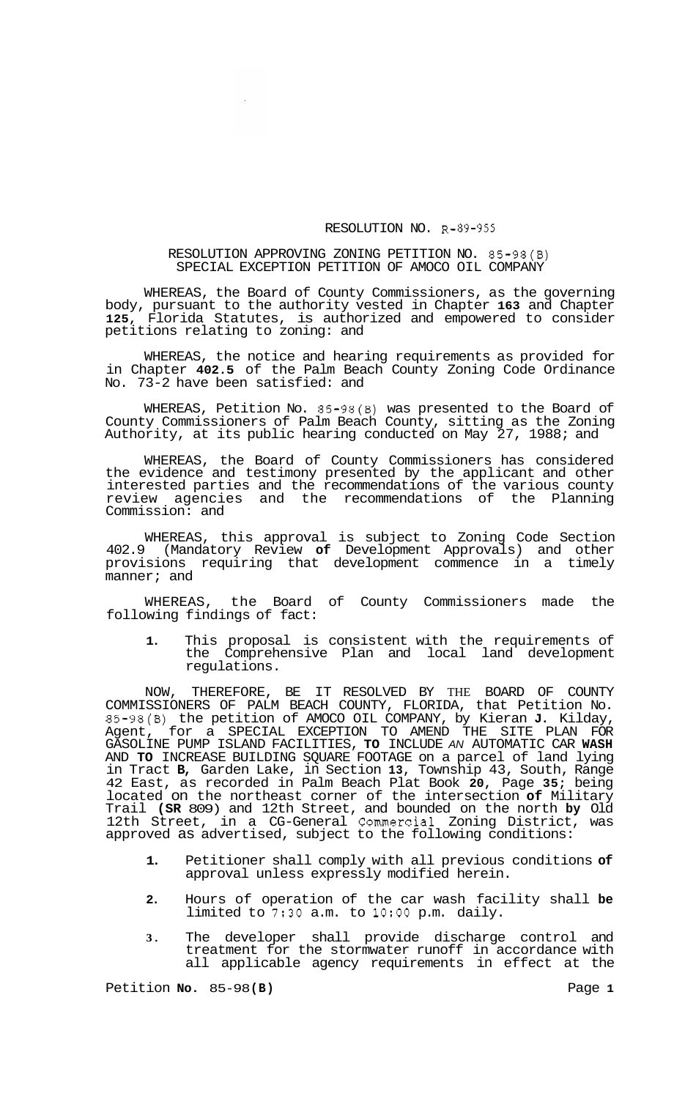## RESOLUTION NO. R-89-955

## RESOLUTION APPROVING ZONING PETITION NO. 85-98(B) SPECIAL EXCEPTION PETITION OF AMOCO OIL COMPANY

WHEREAS, the Board of County Commissioners, as the governing body, pursuant to the authority vested in Chapter **163** and Chapter **125,** Florida Statutes, is authorized and empowered to consider petitions relating to zoning: and

WHEREAS, the notice and hearing requirements as provided for in Chapter **402.5** of the Palm Beach County Zoning Code Ordinance No. 73-2 have been satisfied: and

WHEREAS, Petition No. 85-98(B) was presented to the Board of County Commissioners of Palm Beach County, sitting as the Zoning Authority, at its public hearing conducted on May 27, 1988; and

WHEREAS, the Board of County Commissioners has considered the evidence and testimony presented by the applicant and other interested parties and the recommendations of the various county review agencies and the recommendations of the Planning Commission: and

WHEREAS, this approval is subject to Zoning Code Section 402.9 (Mandatory Review **of** Development Approvals) and other provisions requiring that development commence in a timely manner; and

WHEREAS, the Board of County Commissioners made the following findings of fact:

**1.** This proposal is consistent with the requirements of the Comprehensive Plan and local land development regulations.

NOW, THEREFORE, BE IT RESOLVED BY THE BOARD OF COUNTY COMMISSIONERS OF PALM BEACH COUNTY, FLORIDA, that Petition No. 85-98(B) the petition of AMOCO OIL COMPANY, by Kieran **J.** Kilday, Agent, for a SPECIAL EXCEPTION TO AMEND THE SITE PLAN FOR GASOLINE PUMP ISLAND FACILITIES, **TO** INCLUDE *AN* AUTOMATIC CAR **WASH**  AND **TO** INCREASE BUILDING SQUARE FOOTAGE on a parcel of land lying in Tract **B,** Garden Lake, in Section **13,** Township 43, South, Range 42 East, as recorded in Palm Beach Plat Book **20,** Page **35;** being located on the northeast corner of the intersection **of** Military Trail **(SR** 809) and 12th Street, and bounded on the north **by** Old 12th Street, in a CG-General Commercial Zoning District, was approved as advertised, subject to the following conditions:

- **1.** Petitioner shall comply with all previous conditions **of**  approval unless expressly modified herein.
- **2.** Hours of operation of the car wash facility shall **be**  limited to 7:30 a.m. to **1O:OO** p.m. daily.
- **3.** The developer shall provide discharge control and treatment for the stormwater runoff in accordance with all applicable agency requirements in effect at the

Petition **No.** 85-98 **(B)** Page **1**